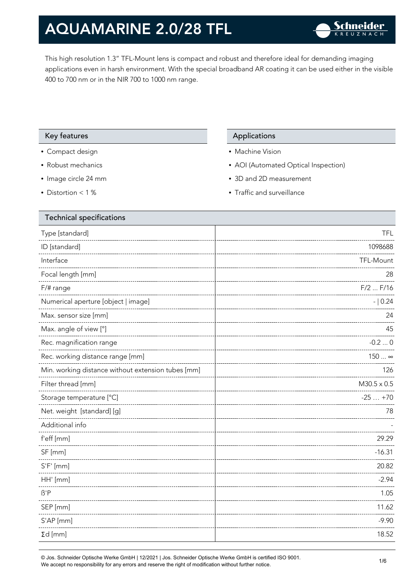This high resolution 1.3" TFL-Mount lens is compact and robust and therefore ideal for demanding imaging applications even in harsh environment. With the special broadband AR coating it can be used either in the visible 400 to 700 nm or in the NIR 700 to 1000 nm range.

### Key features **Applications** Applications

- Compact design
- Robust mechanics
- Image circle 24 mm
- Distortion < 1 %

- Machine Vision
- AOI (Automated Optical Inspection)
- 3D and 2D measurement
- Traffic and surveillance

| <b>Technical specifications</b>                    |                    |
|----------------------------------------------------|--------------------|
| Type [standard]                                    | <b>TFL</b>         |
| ID [standard]                                      | 1098688            |
| Interface                                          | TFL-Mount          |
| Focal length [mm]                                  | 28                 |
| F/# range                                          | $F/2$ $F/16$       |
| Numerical aperture [object   image]                | $- 0.24$           |
| Max. sensor size [mm]                              | 24                 |
| Max. angle of view [°]                             | 45                 |
| Rec. magnification range                           | $-0.20$            |
| Rec. working distance range [mm]                   | 150  ∞             |
| Min. working distance without extension tubes [mm] | 126                |
| Filter thread [mm]                                 | $M30.5 \times 0.5$ |
| Storage temperature [°C]                           | $-25+70$           |
| Net. weight [standard] [g]                         | 78                 |
| Additional info                                    |                    |
| f'eff [mm]                                         | 29.29              |
| SF [mm]                                            | $-16.31$           |
| $S'F'$ [mm]                                        | 20.82              |
| HH' [mm]                                           | $-2.94$            |
| $\beta'$ P                                         | 1.05               |
| SEP [mm]                                           | 11.62              |
| S'AP [mm]                                          | $-9.90$            |
| $\Sigma d$ [mm]                                    | 18.52              |
|                                                    |                    |

© Jos. Schneider Optische Werke GmbH | 12/2021 | Jos. Schneider Optische Werke GmbH is certified ISO 9001. We accept no responsibility for any errors and reserve the right of modification without further notice.<br>We accept no responsibility for any errors and reserve the right of modification without further notice.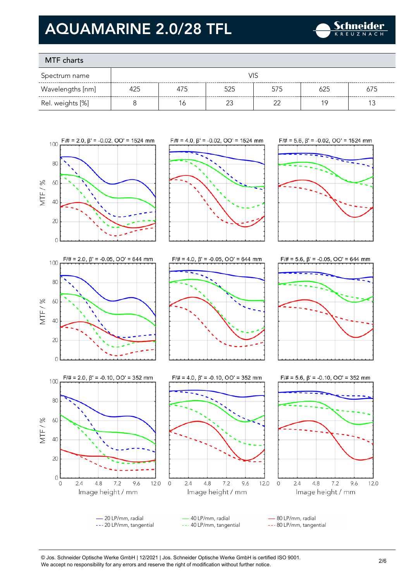

### MTF charts

| Spectrum name    | VIS |     |     |     |     |     |
|------------------|-----|-----|-----|-----|-----|-----|
| Wavelengths [nm] | 425 | 475 | 525 | 575 | 625 | 675 |
| Rel. weights [%] |     | 6   |     |     | 1 Q |     |









 $\overline{0}$ 

MTF/%











- 20 LP/mm, radial 40 LP/mm, radial 80 LP/mm, radial --- 20 LP/mm, tangential --- 40 LP/mm, tangential --- 80 LP/mm, tangential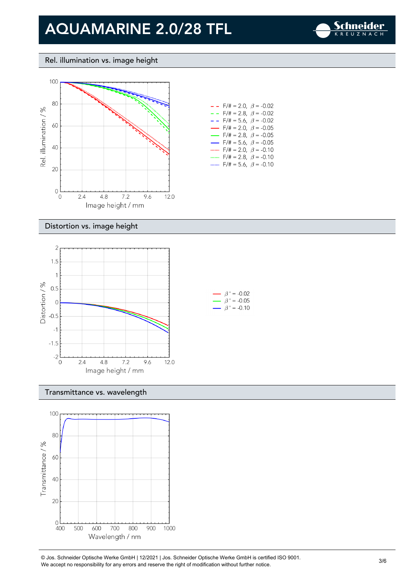

### Rel. illumination vs. image height



|        | $- -$ F/# = 2.0, $\beta$ = -0.02         |  |
|--------|------------------------------------------|--|
| - - -  | $F/\ddot{=} = 2.8, \ \beta = -0.02$      |  |
| - - -  | $F/\ddot{\pi} = 5.6$ , $\beta = -0.02$   |  |
|        | $\rightarrow$ F/# = 2.0, $\beta$ = -0.05 |  |
|        | $\rightarrow$ F/# = 2.8, $\beta$ = -0.05 |  |
| $\sim$ | $F/\ddot{=} = 5.6, \ \beta = -0.05$      |  |
|        | $F/\ddot{=} = 2.0, \ \ \beta = -0.10$    |  |
| .      | $F/\ddot{\pi} = 2.8, \ \beta = -0.10$    |  |
|        | $F/\ddot{=} = 5.6, \ \beta = -0.10$      |  |

#### Distortion vs. image height



#### Transmittance vs. wavelength



© Jos. Schneider Optische Werke GmbH | 12/2021 | Jos. Schneider Optische Werke GmbH is certified ISO 9001. We Jos. Scrinelaer Opuscrie werke GribH | 12/2021 | Jos. Scrinelaer Opuscrie werke GribH is certified ISO 9001.<br>We accept no responsibility for any errors and reserve the right of modification without further notice.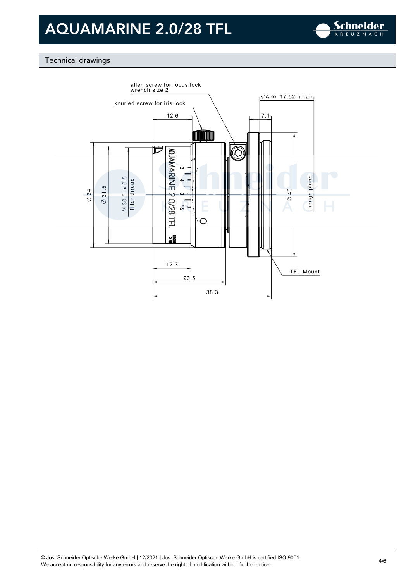

### Technical drawings